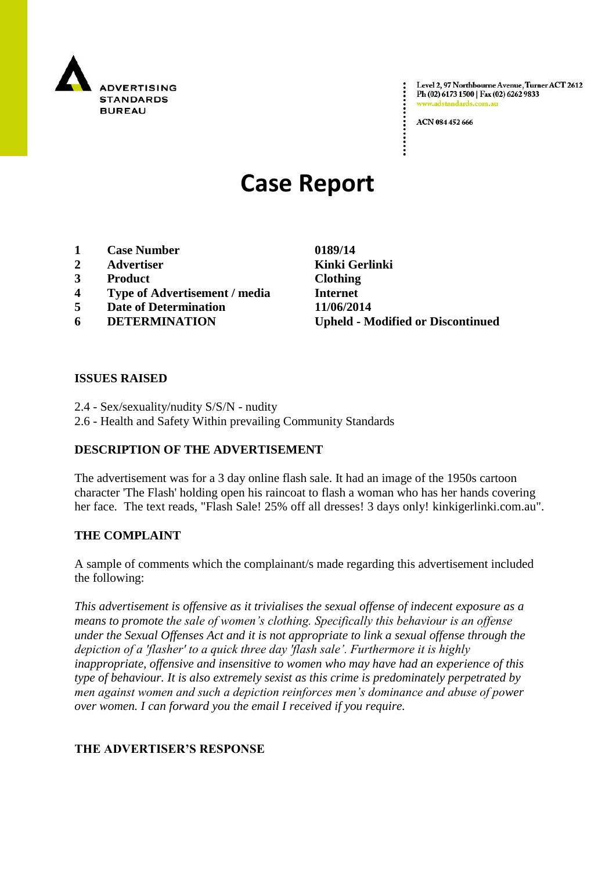

Level 2, 97 Northbourne Avenue, Turner ACT 2612 Ph (02) 6173 1500 | Fax (02) 6262 9833 www.adstandards.c

ACN 084 452 666

# **Case Report**

- **1 Case Number 0189/14**
- **2 Advertiser Kinki Gerlinki**
- **3 Product Clothing**
- **4 Type of Advertisement / media Internet**
- **5 Date of Determination 11/06/2014**
- 

**6 DETERMINATION Upheld - Modified or Discontinued**

#### **ISSUES RAISED**

- 2.4 Sex/sexuality/nudity S/S/N nudity
- 2.6 Health and Safety Within prevailing Community Standards

## **DESCRIPTION OF THE ADVERTISEMENT**

The advertisement was for a 3 day online flash sale. It had an image of the 1950s cartoon character 'The Flash' holding open his raincoat to flash a woman who has her hands covering her face. The text reads, "Flash Sale! 25% off all dresses! 3 days only! kinkigerlinki.com.au".

## **THE COMPLAINT**

A sample of comments which the complainant/s made regarding this advertisement included the following:

*This advertisement is offensive as it trivialises the sexual offense of indecent exposure as a means to promote the sale of women's clothing. Specifically this behaviour is an offense under the Sexual Offenses Act and it is not appropriate to link a sexual offense through the depiction of a 'flasher' to a quick three day 'flash sale'. Furthermore it is highly inappropriate, offensive and insensitive to women who may have had an experience of this type of behaviour. It is also extremely sexist as this crime is predominately perpetrated by men against women and such a depiction reinforces men's dominance and abuse of power over women. I can forward you the email I received if you require.*

## **THE ADVERTISER'S RESPONSE**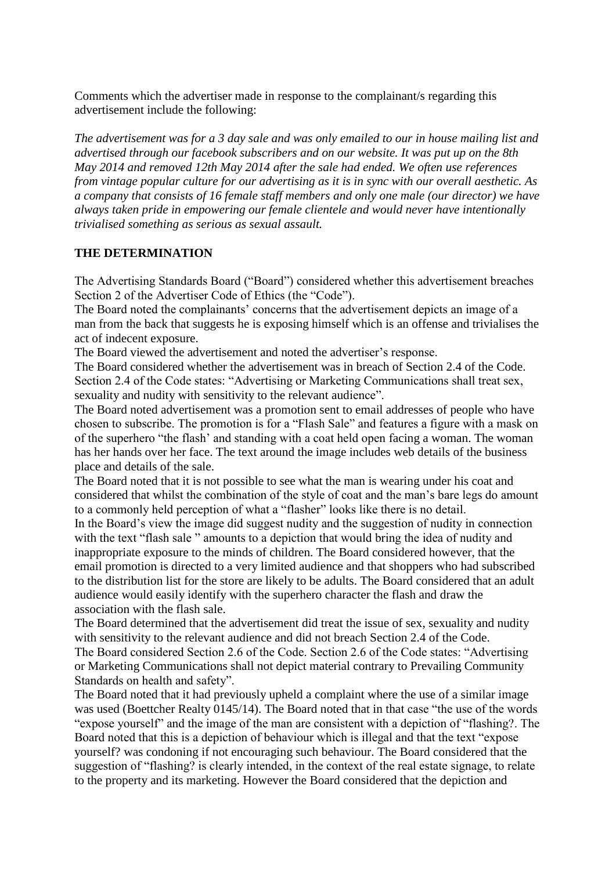Comments which the advertiser made in response to the complainant/s regarding this advertisement include the following:

*The advertisement was for a 3 day sale and was only emailed to our in house mailing list and advertised through our facebook subscribers and on our website. It was put up on the 8th May 2014 and removed 12th May 2014 after the sale had ended. We often use references from vintage popular culture for our advertising as it is in sync with our overall aesthetic. As a company that consists of 16 female staff members and only one male (our director) we have always taken pride in empowering our female clientele and would never have intentionally trivialised something as serious as sexual assault.*

#### **THE DETERMINATION**

The Advertising Standards Board ("Board") considered whether this advertisement breaches Section 2 of the Advertiser Code of Ethics (the "Code").

The Board noted the complainants' concerns that the advertisement depicts an image of a man from the back that suggests he is exposing himself which is an offense and trivialises the act of indecent exposure.

The Board viewed the advertisement and noted the advertiser's response.

The Board considered whether the advertisement was in breach of Section 2.4 of the Code. Section 2.4 of the Code states: "Advertising or Marketing Communications shall treat sex, sexuality and nudity with sensitivity to the relevant audience".

The Board noted advertisement was a promotion sent to email addresses of people who have chosen to subscribe. The promotion is for a "Flash Sale" and features a figure with a mask on of the superhero "the flash' and standing with a coat held open facing a woman. The woman has her hands over her face. The text around the image includes web details of the business place and details of the sale.

The Board noted that it is not possible to see what the man is wearing under his coat and considered that whilst the combination of the style of coat and the man's bare legs do amount to a commonly held perception of what a "flasher" looks like there is no detail.

In the Board's view the image did suggest nudity and the suggestion of nudity in connection with the text "flash sale " amounts to a depiction that would bring the idea of nudity and inappropriate exposure to the minds of children. The Board considered however, that the email promotion is directed to a very limited audience and that shoppers who had subscribed to the distribution list for the store are likely to be adults. The Board considered that an adult audience would easily identify with the superhero character the flash and draw the association with the flash sale.

The Board determined that the advertisement did treat the issue of sex, sexuality and nudity with sensitivity to the relevant audience and did not breach Section 2.4 of the Code. The Board considered Section 2.6 of the Code. Section 2.6 of the Code states: "Advertising or Marketing Communications shall not depict material contrary to Prevailing Community Standards on health and safety".

The Board noted that it had previously upheld a complaint where the use of a similar image was used (Boettcher Realty 0145/14). The Board noted that in that case "the use of the words "expose yourself" and the image of the man are consistent with a depiction of "flashing?. The Board noted that this is a depiction of behaviour which is illegal and that the text "expose yourself? was condoning if not encouraging such behaviour. The Board considered that the suggestion of "flashing? is clearly intended, in the context of the real estate signage, to relate to the property and its marketing. However the Board considered that the depiction and